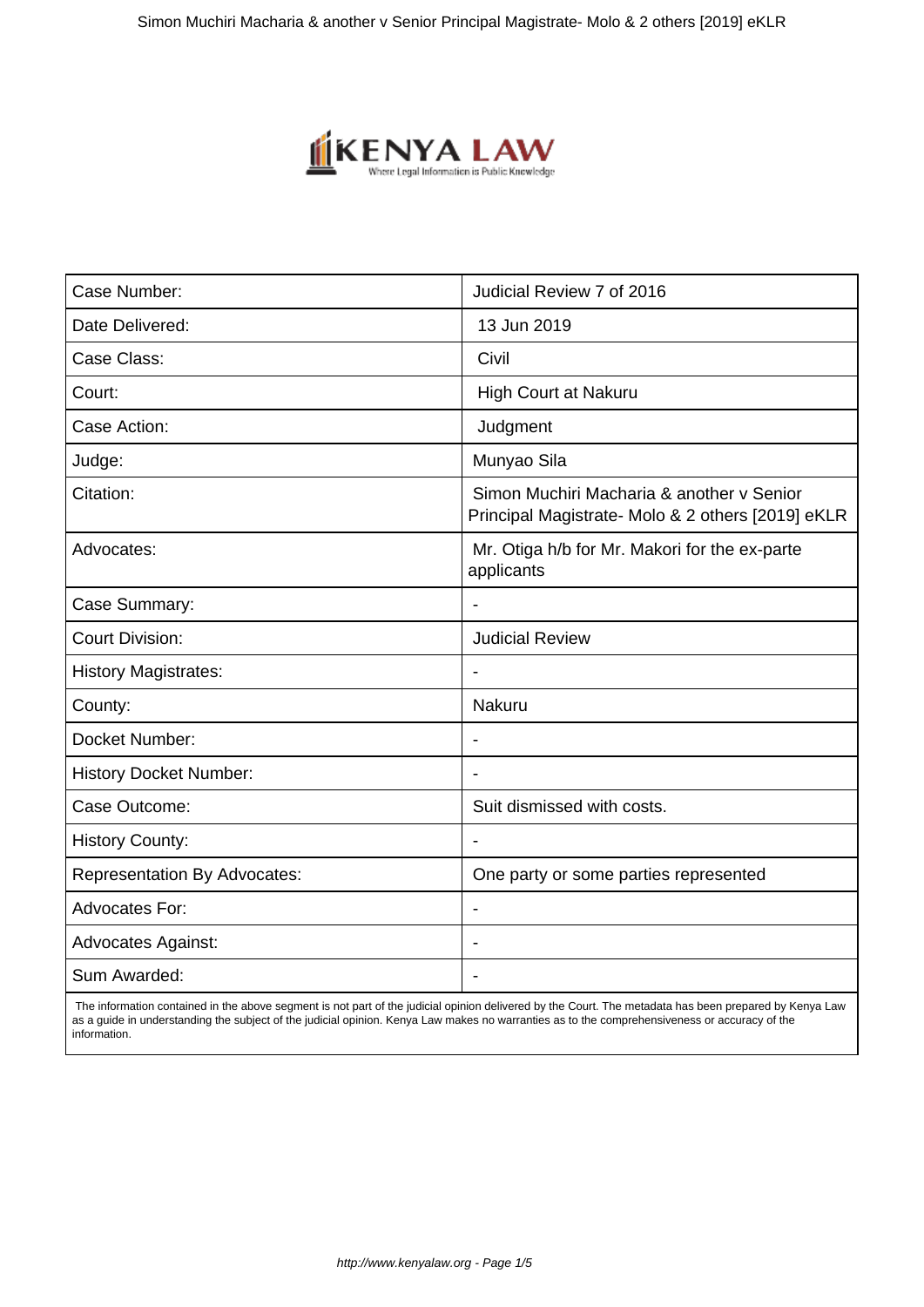

| Case Number:                        | Judicial Review 7 of 2016                                                                      |
|-------------------------------------|------------------------------------------------------------------------------------------------|
| Date Delivered:                     | 13 Jun 2019                                                                                    |
| Case Class:                         | Civil                                                                                          |
| Court:                              | High Court at Nakuru                                                                           |
| Case Action:                        | Judgment                                                                                       |
| Judge:                              | Munyao Sila                                                                                    |
| Citation:                           | Simon Muchiri Macharia & another v Senior<br>Principal Magistrate- Molo & 2 others [2019] eKLR |
| Advocates:                          | Mr. Otiga h/b for Mr. Makori for the ex-parte<br>applicants                                    |
| Case Summary:                       | $\blacksquare$                                                                                 |
| <b>Court Division:</b>              | <b>Judicial Review</b>                                                                         |
| <b>History Magistrates:</b>         |                                                                                                |
| County:                             | Nakuru                                                                                         |
| Docket Number:                      | $\overline{\phantom{a}}$                                                                       |
| <b>History Docket Number:</b>       |                                                                                                |
| Case Outcome:                       | Suit dismissed with costs.                                                                     |
| <b>History County:</b>              |                                                                                                |
| <b>Representation By Advocates:</b> | One party or some parties represented                                                          |
| <b>Advocates For:</b>               | $\overline{\phantom{a}}$                                                                       |
| <b>Advocates Against:</b>           |                                                                                                |
| Sum Awarded:                        |                                                                                                |
|                                     |                                                                                                |

 The information contained in the above segment is not part of the judicial opinion delivered by the Court. The metadata has been prepared by Kenya Law as a guide in understanding the subject of the judicial opinion. Kenya Law makes no warranties as to the comprehensiveness or accuracy of the information.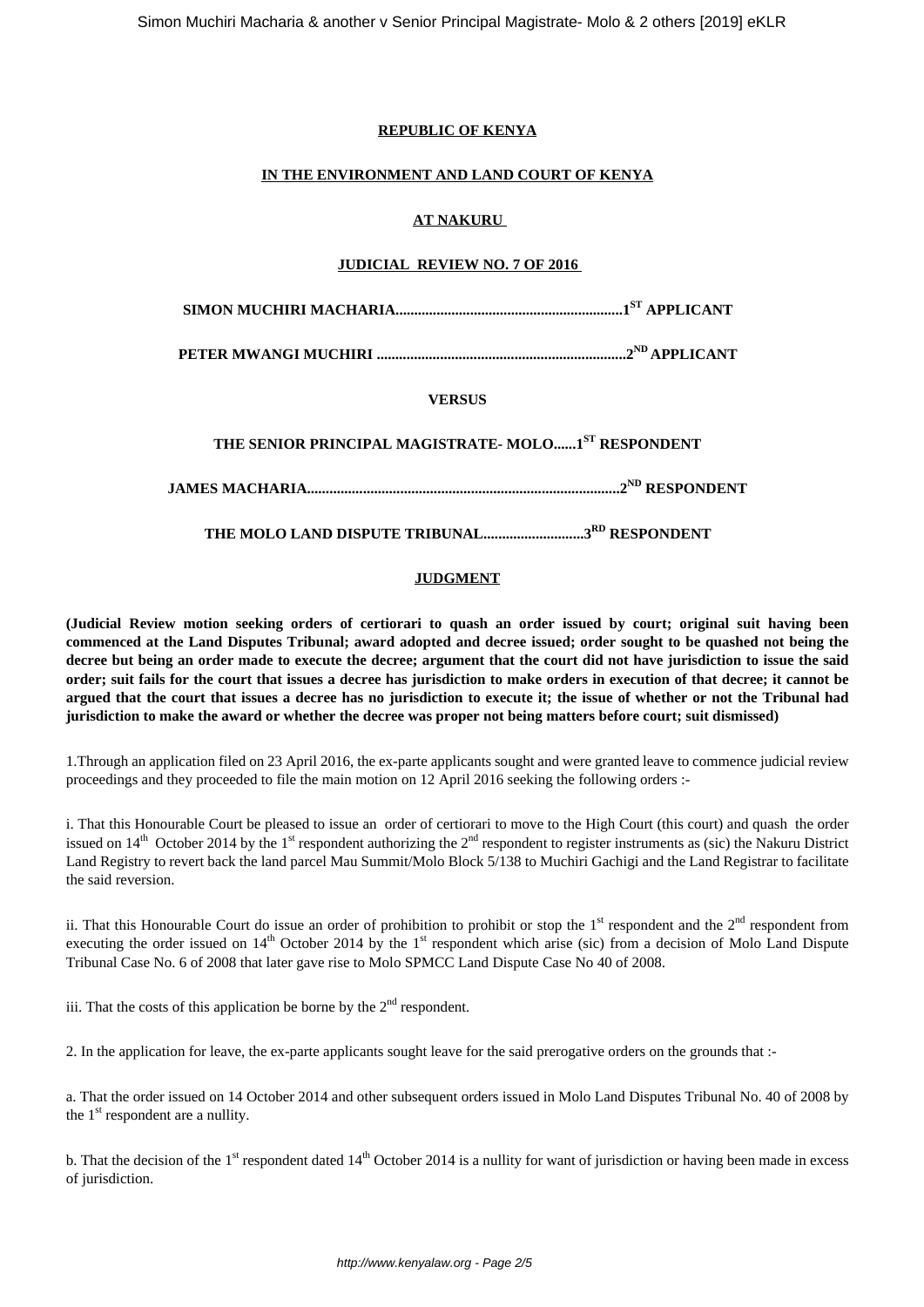# **REPUBLIC OF KENYA**

#### **IN THE ENVIRONMENT AND LAND COURT OF KENYA**

# **AT NAKURU**

# **JUDICIAL REVIEW NO. 7 OF 2016**

**SIMON MUCHIRI MACHARIA.............................................................1ST APPLICANT**

**PETER MWANGI MUCHIRI ...................................................................2ND APPLICANT**

# **VERSUS**

**THE SENIOR PRINCIPAL MAGISTRATE- MOLO......1ST RESPONDENT**

**JAMES MACHARIA....................................................................................2ND RESPONDENT**

**THE MOLO LAND DISPUTE TRIBUNAL...........................3RD RESPONDENT**

# **JUDGMENT**

**(Judicial Review motion seeking orders of certiorari to quash an order issued by court; original suit having been commenced at the Land Disputes Tribunal; award adopted and decree issued; order sought to be quashed not being the decree but being an order made to execute the decree; argument that the court did not have jurisdiction to issue the said order; suit fails for the court that issues a decree has jurisdiction to make orders in execution of that decree; it cannot be argued that the court that issues a decree has no jurisdiction to execute it; the issue of whether or not the Tribunal had jurisdiction to make the award or whether the decree was proper not being matters before court; suit dismissed)** 

1.Through an application filed on 23 April 2016, the ex-parte applicants sought and were granted leave to commence judicial review proceedings and they proceeded to file the main motion on 12 April 2016 seeking the following orders :-

i. That this Honourable Court be pleased to issue an order of certiorari to move to the High Court (this court) and quash the order issued on 14<sup>th</sup> October 2014 by the 1<sup>st</sup> respondent authorizing the 2<sup>nd</sup> respondent to register instruments as (sic) the Nakuru District Land Registry to revert back the land parcel Mau Summit/Molo Block 5/138 to Muchiri Gachigi and the Land Registrar to facilitate the said reversion.

ii. That this Honourable Court do issue an order of prohibition to prohibit or stop the  $1<sup>st</sup>$  respondent and the  $2<sup>nd</sup>$  respondent from executing the order issued on  $14<sup>th</sup>$  October 2014 by the  $1<sup>st</sup>$  respondent which arise (sic) from a decision of Molo Land Dispute Tribunal Case No. 6 of 2008 that later gave rise to Molo SPMCC Land Dispute Case No 40 of 2008.

iii. That the costs of this application be borne by the  $2<sup>nd</sup>$  respondent.

2. In the application for leave, the ex-parte applicants sought leave for the said prerogative orders on the grounds that :-

a. That the order issued on 14 October 2014 and other subsequent orders issued in Molo Land Disputes Tribunal No. 40 of 2008 by the  $1<sup>st</sup>$  respondent are a nullity.

b. That the decision of the  $1<sup>st</sup>$  respondent dated  $14<sup>th</sup>$  October 2014 is a nullity for want of jurisdiction or having been made in excess of jurisdiction.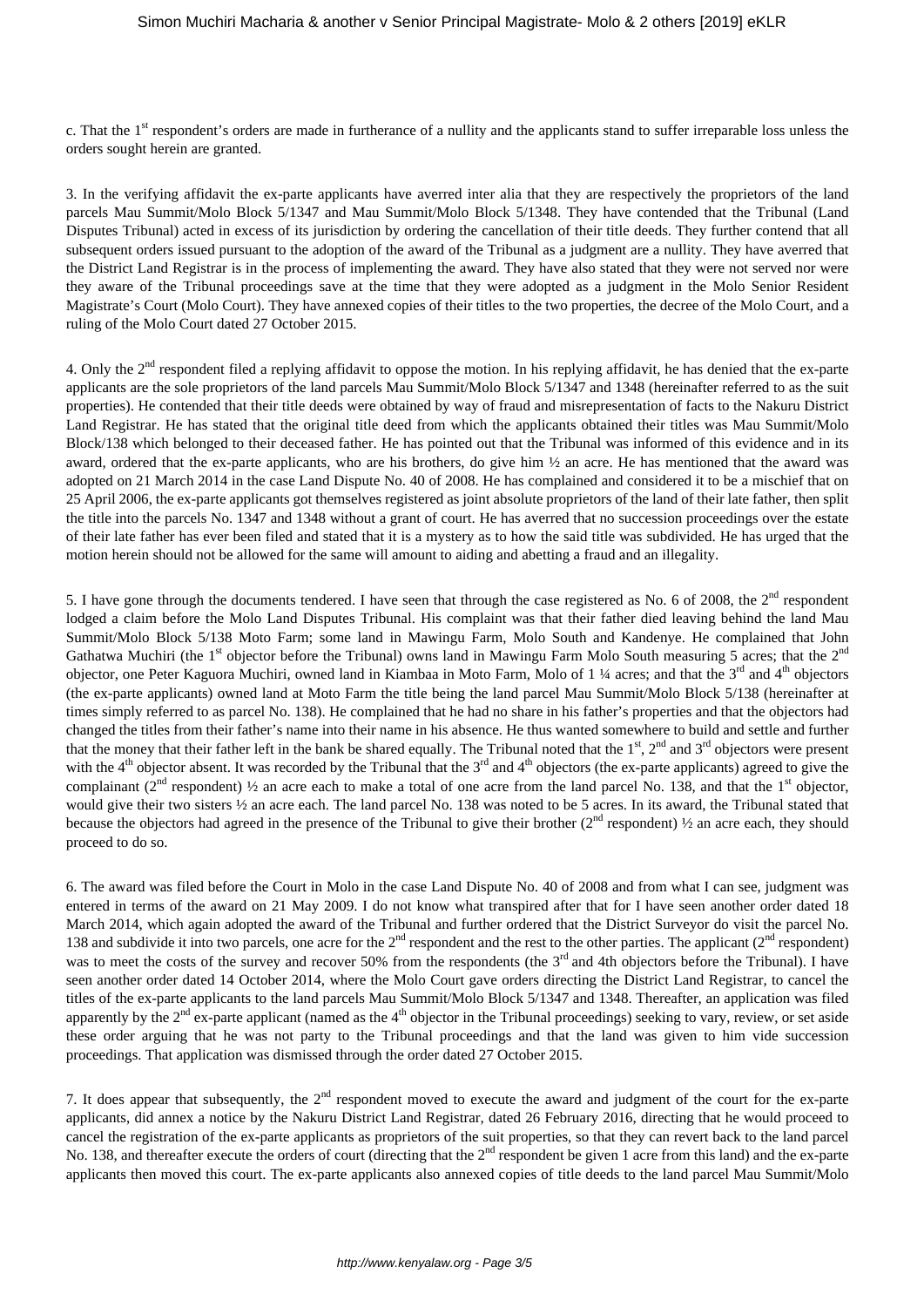c. That the 1<sup>st</sup> respondent's orders are made in furtherance of a nullity and the applicants stand to suffer irreparable loss unless the orders sought herein are granted.

3. In the verifying affidavit the ex-parte applicants have averred inter alia that they are respectively the proprietors of the land parcels Mau Summit/Molo Block 5/1347 and Mau Summit/Molo Block 5/1348. They have contended that the Tribunal (Land Disputes Tribunal) acted in excess of its jurisdiction by ordering the cancellation of their title deeds. They further contend that all subsequent orders issued pursuant to the adoption of the award of the Tribunal as a judgment are a nullity. They have averred that the District Land Registrar is in the process of implementing the award. They have also stated that they were not served nor were they aware of the Tribunal proceedings save at the time that they were adopted as a judgment in the Molo Senior Resident Magistrate's Court (Molo Court). They have annexed copies of their titles to the two properties, the decree of the Molo Court, and a ruling of the Molo Court dated 27 October 2015.

4. Only the 2<sup>nd</sup> respondent filed a replying affidavit to oppose the motion. In his replying affidavit, he has denied that the ex-parte applicants are the sole proprietors of the land parcels Mau Summit/Molo Block 5/1347 and 1348 (hereinafter referred to as the suit properties). He contended that their title deeds were obtained by way of fraud and misrepresentation of facts to the Nakuru District Land Registrar. He has stated that the original title deed from which the applicants obtained their titles was Mau Summit/Molo Block/138 which belonged to their deceased father. He has pointed out that the Tribunal was informed of this evidence and in its award, ordered that the ex-parte applicants, who are his brothers, do give him ½ an acre. He has mentioned that the award was adopted on 21 March 2014 in the case Land Dispute No. 40 of 2008. He has complained and considered it to be a mischief that on 25 April 2006, the ex-parte applicants got themselves registered as joint absolute proprietors of the land of their late father, then split the title into the parcels No. 1347 and 1348 without a grant of court. He has averred that no succession proceedings over the estate of their late father has ever been filed and stated that it is a mystery as to how the said title was subdivided. He has urged that the motion herein should not be allowed for the same will amount to aiding and abetting a fraud and an illegality.

5. I have gone through the documents tendered. I have seen that through the case registered as No. 6 of 2008, the  $2<sup>nd</sup>$  respondent lodged a claim before the Molo Land Disputes Tribunal. His complaint was that their father died leaving behind the land Mau Summit/Molo Block 5/138 Moto Farm; some land in Mawingu Farm, Molo South and Kandenye. He complained that John Gathatwa Muchiri (the 1<sup>st</sup> objector before the Tribunal) owns land in Mawingu Farm Molo South measuring 5 acres; that the  $2<sup>nd</sup>$ objector, one Peter Kaguora Muchiri, owned land in Kiambaa in Moto Farm, Molo of 1 ¼ acres; and that the  $3<sup>rd</sup>$  and  $4<sup>th</sup>$  objectors (the ex-parte applicants) owned land at Moto Farm the title being the land parcel Mau Summit/Molo Block 5/138 (hereinafter at times simply referred to as parcel No. 138). He complained that he had no share in his father's properties and that the objectors had changed the titles from their father's name into their name in his absence. He thus wanted somewhere to build and settle and further that the money that their father left in the bank be shared equally. The Tribunal noted that the  $1<sup>st</sup>$ ,  $2<sup>nd</sup>$  and  $3<sup>rd</sup>$  objectors were present with the  $4<sup>th</sup>$  objector absent. It was recorded by the Tribunal that the  $3<sup>rd</sup>$  and  $4<sup>th</sup>$  objectors (the ex-parte applicants) agreed to give the complainant ( $2<sup>nd</sup>$  respondent)  $\frac{1}{2}$  an acre each to make a total of one acre from the land parcel No. 138, and that the 1<sup>st</sup> objector, would give their two sisters  $\frac{1}{2}$  an acre each. The land parcel No. 138 was noted to be 5 acres. In its award, the Tribunal stated that because the objectors had agreed in the presence of the Tribunal to give their brother  $(2<sup>nd</sup>$  respondent)  $\frac{1}{2}$  an acre each, they should proceed to do so.

6. The award was filed before the Court in Molo in the case Land Dispute No. 40 of 2008 and from what I can see, judgment was entered in terms of the award on 21 May 2009. I do not know what transpired after that for I have seen another order dated 18 March 2014, which again adopted the award of the Tribunal and further ordered that the District Surveyor do visit the parcel No. 138 and subdivide it into two parcels, one acre for the  $2<sup>nd</sup>$  respondent and the rest to the other parties. The applicant ( $2<sup>nd</sup>$  respondent) was to meet the costs of the survey and recover 50% from the respondents (the 3<sup>rd</sup> and 4th objectors before the Tribunal). I have seen another order dated 14 October 2014, where the Molo Court gave orders directing the District Land Registrar, to cancel the titles of the ex-parte applicants to the land parcels Mau Summit/Molo Block 5/1347 and 1348. Thereafter, an application was filed apparently by the  $2<sup>nd</sup>$  ex-parte applicant (named as the  $4<sup>th</sup>$  objector in the Tribunal proceedings) seeking to vary, review, or set aside these order arguing that he was not party to the Tribunal proceedings and that the land was given to him vide succession proceedings. That application was dismissed through the order dated 27 October 2015.

7. It does appear that subsequently, the  $2<sup>nd</sup>$  respondent moved to execute the award and judgment of the court for the ex-parte applicants, did annex a notice by the Nakuru District Land Registrar, dated 26 February 2016, directing that he would proceed to cancel the registration of the ex-parte applicants as proprietors of the suit properties, so that they can revert back to the land parcel No. 138, and thereafter execute the orders of court (directing that the  $2<sup>nd</sup>$  respondent be given 1 acre from this land) and the ex-parte applicants then moved this court. The ex-parte applicants also annexed copies of title deeds to the land parcel Mau Summit/Molo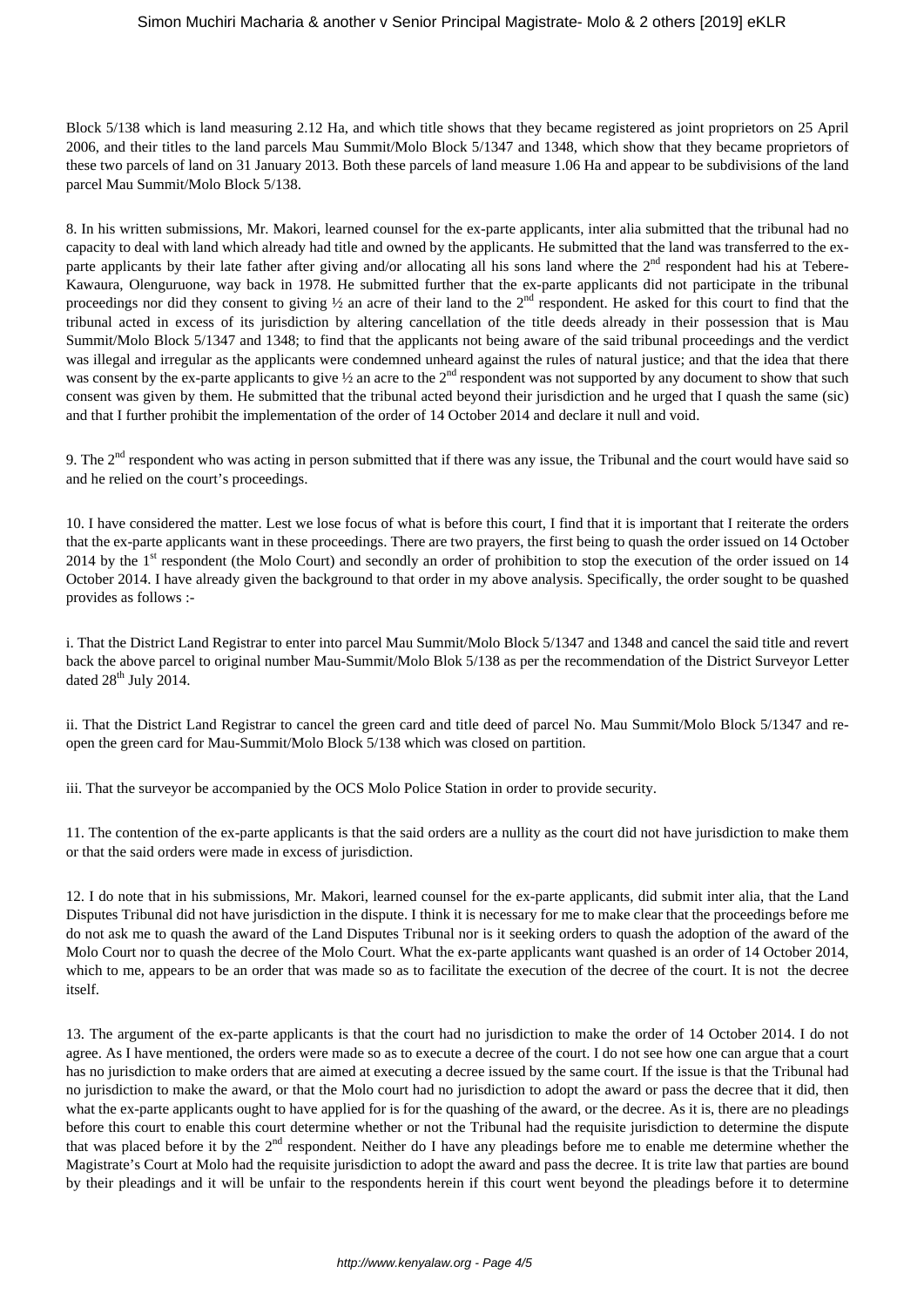Block 5/138 which is land measuring 2.12 Ha, and which title shows that they became registered as joint proprietors on 25 April 2006, and their titles to the land parcels Mau Summit/Molo Block 5/1347 and 1348, which show that they became proprietors of these two parcels of land on 31 January 2013. Both these parcels of land measure 1.06 Ha and appear to be subdivisions of the land parcel Mau Summit/Molo Block 5/138.

8. In his written submissions, Mr. Makori, learned counsel for the ex-parte applicants, inter alia submitted that the tribunal had no capacity to deal with land which already had title and owned by the applicants. He submitted that the land was transferred to the exparte applicants by their late father after giving and/or allocating all his sons land where the  $2<sup>nd</sup>$  respondent had his at Tebere-Kawaura, Olenguruone, way back in 1978. He submitted further that the ex-parte applicants did not participate in the tribunal proceedings nor did they consent to giving  $\frac{1}{2}$  an acre of their land to the 2<sup>nd</sup> respondent. He asked for this court to find that the tribunal acted in excess of its jurisdiction by altering cancellation of the title deeds already in their possession that is Mau Summit/Molo Block 5/1347 and 1348; to find that the applicants not being aware of the said tribunal proceedings and the verdict was illegal and irregular as the applicants were condemned unheard against the rules of natural justice; and that the idea that there was consent by the ex-parte applicants to give  $\frac{1}{2}$  an acre to the  $2^{nd}$  respondent was not supported by any document to show that such consent was given by them. He submitted that the tribunal acted beyond their jurisdiction and he urged that I quash the same (sic) and that I further prohibit the implementation of the order of 14 October 2014 and declare it null and void.

9. The 2<sup>nd</sup> respondent who was acting in person submitted that if there was any issue, the Tribunal and the court would have said so and he relied on the court's proceedings.

10. I have considered the matter. Lest we lose focus of what is before this court, I find that it is important that I reiterate the orders that the ex-parte applicants want in these proceedings. There are two prayers, the first being to quash the order issued on 14 October 2014 by the 1<sup>st</sup> respondent (the Molo Court) and secondly an order of prohibition to stop the execution of the order issued on 14 October 2014. I have already given the background to that order in my above analysis. Specifically, the order sought to be quashed provides as follows :-

i. That the District Land Registrar to enter into parcel Mau Summit/Molo Block 5/1347 and 1348 and cancel the said title and revert back the above parcel to original number Mau-Summit/Molo Blok 5/138 as per the recommendation of the District Surveyor Letter dated  $28<sup>th</sup>$  July 2014.

ii. That the District Land Registrar to cancel the green card and title deed of parcel No. Mau Summit/Molo Block 5/1347 and reopen the green card for Mau-Summit/Molo Block 5/138 which was closed on partition.

iii. That the surveyor be accompanied by the OCS Molo Police Station in order to provide security.

11. The contention of the ex-parte applicants is that the said orders are a nullity as the court did not have jurisdiction to make them or that the said orders were made in excess of jurisdiction.

12. I do note that in his submissions, Mr. Makori, learned counsel for the ex-parte applicants, did submit inter alia, that the Land Disputes Tribunal did not have jurisdiction in the dispute. I think it is necessary for me to make clear that the proceedings before me do not ask me to quash the award of the Land Disputes Tribunal nor is it seeking orders to quash the adoption of the award of the Molo Court nor to quash the decree of the Molo Court. What the ex-parte applicants want quashed is an order of 14 October 2014, which to me, appears to be an order that was made so as to facilitate the execution of the decree of the court. It is not the decree itself.

13. The argument of the ex-parte applicants is that the court had no jurisdiction to make the order of 14 October 2014. I do not agree. As I have mentioned, the orders were made so as to execute a decree of the court. I do not see how one can argue that a court has no jurisdiction to make orders that are aimed at executing a decree issued by the same court. If the issue is that the Tribunal had no jurisdiction to make the award, or that the Molo court had no jurisdiction to adopt the award or pass the decree that it did, then what the ex-parte applicants ought to have applied for is for the quashing of the award, or the decree. As it is, there are no pleadings before this court to enable this court determine whether or not the Tribunal had the requisite jurisdiction to determine the dispute that was placed before it by the  $2<sup>nd</sup>$  respondent. Neither do I have any pleadings before me to enable me determine whether the Magistrate's Court at Molo had the requisite jurisdiction to adopt the award and pass the decree. It is trite law that parties are bound by their pleadings and it will be unfair to the respondents herein if this court went beyond the pleadings before it to determine